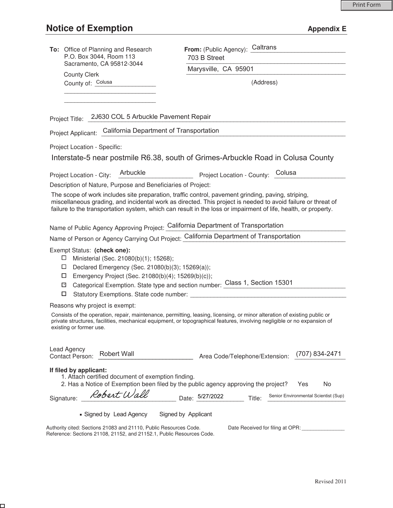$\Box$ 

| To: Office of Planning and Research<br>P.O. Box 3044, Room 113                                                                                                                                                                                                                     | From: (Public Agency): Caltrans<br>703 B Street                                                                                                                                                                                                                                                                                      |  |  |
|------------------------------------------------------------------------------------------------------------------------------------------------------------------------------------------------------------------------------------------------------------------------------------|--------------------------------------------------------------------------------------------------------------------------------------------------------------------------------------------------------------------------------------------------------------------------------------------------------------------------------------|--|--|
| Sacramento, CA 95812-3044                                                                                                                                                                                                                                                          | Marysville, CA 95901                                                                                                                                                                                                                                                                                                                 |  |  |
| <b>County Clerk</b><br>County of: Colusa                                                                                                                                                                                                                                           | (Address)                                                                                                                                                                                                                                                                                                                            |  |  |
|                                                                                                                                                                                                                                                                                    |                                                                                                                                                                                                                                                                                                                                      |  |  |
| Project Title: 2J630 COL 5 Arbuckle Pavement Repair                                                                                                                                                                                                                                |                                                                                                                                                                                                                                                                                                                                      |  |  |
| Project Applicant: California Department of Transportation                                                                                                                                                                                                                         |                                                                                                                                                                                                                                                                                                                                      |  |  |
|                                                                                                                                                                                                                                                                                    |                                                                                                                                                                                                                                                                                                                                      |  |  |
| Project Location - Specific:                                                                                                                                                                                                                                                       |                                                                                                                                                                                                                                                                                                                                      |  |  |
|                                                                                                                                                                                                                                                                                    | Interstate-5 near postmile R6.38, south of Grimes-Arbuckle Road in Colusa County                                                                                                                                                                                                                                                     |  |  |
| Arbuckle<br>Project Location - City:                                                                                                                                                                                                                                               | Colusa<br>Project Location - County:                                                                                                                                                                                                                                                                                                 |  |  |
| Description of Nature, Purpose and Beneficiaries of Project:                                                                                                                                                                                                                       |                                                                                                                                                                                                                                                                                                                                      |  |  |
|                                                                                                                                                                                                                                                                                    | The scope of work includes site preparation, traffic control, pavement grinding, paving, striping,<br>miscellaneous grading, and incidental work as directed. This project is needed to avoid failure or threat of<br>failure to the transportation system, which can result in the loss or impairment of life, health, or property. |  |  |
| Name of Public Agency Approving Project: California Department of Transportation                                                                                                                                                                                                   |                                                                                                                                                                                                                                                                                                                                      |  |  |
| Name of Person or Agency Carrying Out Project: California Department of Transportation                                                                                                                                                                                             |                                                                                                                                                                                                                                                                                                                                      |  |  |
| Exempt Status: (check one):<br>$\Box$<br>Ministerial (Sec. 21080(b)(1); 15268);<br>Declared Emergency (Sec. 21080(b)(3); 15269(a));<br>$\Box$<br>Emergency Project (Sec. 21080(b)(4); 15269(b)(c));<br>□<br>$\mathbf{x}$<br>Statutory Exemptions. State code number: ________<br>□ | Categorical Exemption. State type and section number: Class 1, Section 15301                                                                                                                                                                                                                                                         |  |  |
| Reasons why project is exempt:                                                                                                                                                                                                                                                     |                                                                                                                                                                                                                                                                                                                                      |  |  |
| existing or former use.                                                                                                                                                                                                                                                            | Consists of the operation, repair, maintenance, permitting, leasing, licensing, or minor alteration of existing public or<br>private structures, facilities, mechanical equipment, or topographical features, involving negligible or no expansion of                                                                                |  |  |
| Lead Agency<br><b>Robert Wall</b><br>Contact Person:                                                                                                                                                                                                                               | (707) 834-2471<br>Area Code/Telephone/Extension:                                                                                                                                                                                                                                                                                     |  |  |
| If filed by applicant:<br>1. Attach certified document of exemption finding.<br>2. Has a Notice of Exemption been filed by the public agency approving the project?                                                                                                                | Yes<br>No.                                                                                                                                                                                                                                                                                                                           |  |  |
| Robert Wall<br>Signature:                                                                                                                                                                                                                                                          | Senior Environmental Scientist (Sup)<br>Date: 5/27/2022<br>Title:                                                                                                                                                                                                                                                                    |  |  |
| ■ Signed by Lead Agency                                                                                                                                                                                                                                                            | Signed by Applicant                                                                                                                                                                                                                                                                                                                  |  |  |
| Authority cited: Sections 21083 and 21110, Public Resources Code.<br>Reference: Sections 21108, 21152, and 21152.1, Public Resources Code.                                                                                                                                         | Date Received for filing at OPR: ______________                                                                                                                                                                                                                                                                                      |  |  |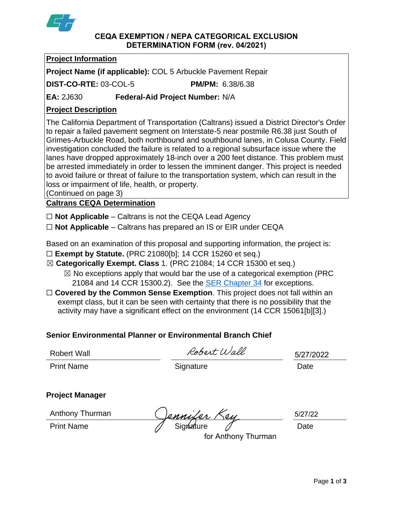

#### **CEQA EXEMPTION / NEPA CATEGORICAL EXCLUSION DETERMINATION FORM (rev. 04/2021)**

## **Project Information**

**Project Name (if applicable):** COL 5 Arbuckle Pavement Repair

**DIST-CO-RTE:** 03-COL-5 **PM/PM:** 6.38/6.38

**EA:** 2J630 **Federal-Aid Project Number:** N/A

# **Project Description**

The California Department of Transportation (Caltrans) issued a District Director's Order to repair a failed pavement segment on Interstate-5 near postmile R6.38 just South of Grimes-Arbuckle Road, both northbound and southbound lanes, in Colusa County. Field investigation concluded the failure is related to a regional subsurface issue where the lanes have dropped approximately 18-inch over a 200 feet distance. This problem must be arrested immediately in order to lessen the imminent danger. This project is needed to avoid failure or threat of failure to the transportation system, which can result in the loss or impairment of life, health, or property.

(Continued on page 3)

# **Caltrans CEQA Determination**

☐ **Not Applicable** – Caltrans is not the CEQA Lead Agency

☐ **Not Applicable** – Caltrans has prepared an IS or EIR under CEQA

Based on an examination of this proposal and supporting information, the project is:

- ☐ **Exempt by Statute.** (PRC 21080[b]; 14 CCR 15260 et seq.)
- ☒ **Categorically Exempt. Class** 1. (PRC 21084; 14 CCR 15300 et seq.)
	- $\boxtimes$  No exceptions apply that would bar the use of a categorical exemption (PRC 21084 and 14 CCR 15300.2). See the [SER Chapter 34](https://dot.ca.gov/programs/environmental-analysis/standard-environmental-reference-ser/volume-1-guidance-for-compliance/ch-34-exemptions-to-ceqa#except) for exceptions.
- □ **Covered by the Common Sense Exemption**. This project does not fall within an exempt class, but it can be seen with certainty that there is no possibility that the activity may have a significant effect on the environment (14 CCR 15061[b][3].)

# **Senior Environmental Planner or Environmental Branch Chief**

Robert Wall

Robert Wall

5/27/2022

Print Name **Signature Date Date Date** 

## **Project Manager**

Anthony Thurman

Anthony Thurman (Jennifer Key 5/27/2)<br>Print Name Signature Date

5/27/22

for Anthony Thurman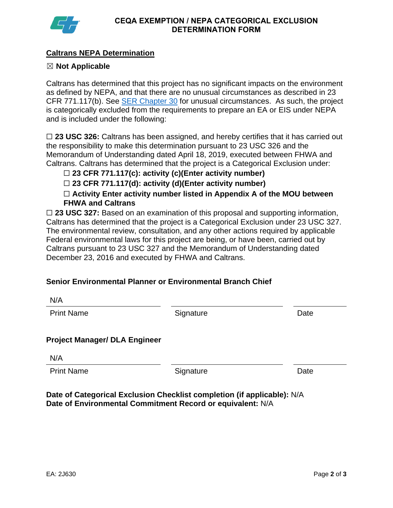

## **Caltrans NEPA Determination**

### ☒ **Not Applicable**

Caltrans has determined that this project has no significant impacts on the environment as defined by NEPA, and that there are no unusual circumstances as described in 23 CFR 771.117(b). See **SER Chapter 30** for unusual circumstances. As such, the project is categorically excluded from the requirements to prepare an EA or EIS under NEPA and is included under the following:

□ 23 USC 326: Caltrans has been assigned, and hereby certifies that it has carried out the responsibility to make this determination pursuant to 23 USC 326 and the Memorandum of Understanding dated April 18, 2019, executed between FHWA and Caltrans. Caltrans has determined that the project is a Categorical Exclusion under:

☐ **23 CFR 771.117(c): activity (c)(Enter activity number)**

☐ **23 CFR 771.117(d): activity (d)(Enter activity number)**

☐ **Activity Enter activity number listed in Appendix A of the MOU between FHWA and Caltrans**

□ 23 USC 327: Based on an examination of this proposal and supporting information, Caltrans has determined that the project is a Categorical Exclusion under 23 USC 327. The environmental review, consultation, and any other actions required by applicable Federal environmental laws for this project are being, or have been, carried out by Caltrans pursuant to 23 USC 327 and the Memorandum of Understanding dated December 23, 2016 and executed by FHWA and Caltrans.

## **Senior Environmental Planner or Environmental Branch Chief**

| N/A                                  |           |      |
|--------------------------------------|-----------|------|
| <b>Print Name</b>                    | Signature | Date |
|                                      |           |      |
| <b>Project Manager/ DLA Engineer</b> |           |      |
| N/A                                  |           |      |
| <b>Print Name</b>                    | Signature | Date |
|                                      |           |      |

**Date of Categorical Exclusion Checklist completion (if applicable):** N/A **Date of Environmental Commitment Record or equivalent:** N/A